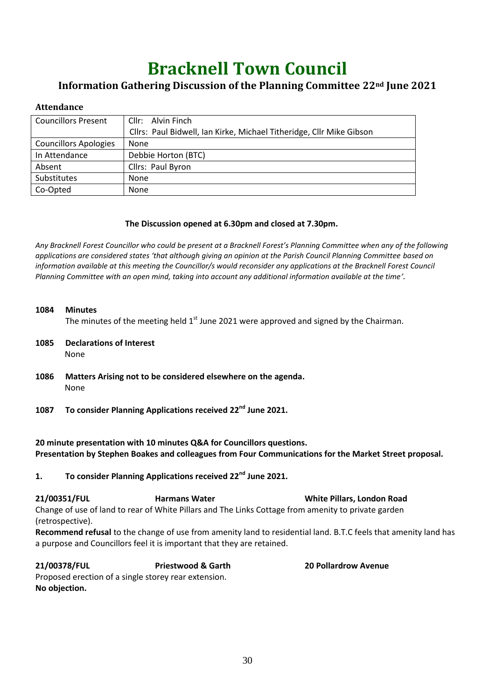# **Bracknell Town Council**

## **Information Gathering Discussion of the Planning Committee 22nd June 2021**

## **Attendance**

| <b>Councillors Present</b>   | Cllr: Alvin Finch                                                    |  |
|------------------------------|----------------------------------------------------------------------|--|
|                              | Cllrs: Paul Bidwell, Ian Kirke, Michael Titheridge, Cllr Mike Gibson |  |
| <b>Councillors Apologies</b> | None                                                                 |  |
| In Attendance                | Debbie Horton (BTC)                                                  |  |
| Absent                       | Cllrs: Paul Byron                                                    |  |
| Substitutes                  | None                                                                 |  |
| Co-Opted                     | None                                                                 |  |

## **The Discussion opened at 6.30pm and closed at 7.30pm.**

*Any Bracknell Forest Councillor who could be present at a Bracknell Forest's Planning Committee when any of the following applications are considered states 'that although giving an opinion at the Parish Council Planning Committee based on information available at this meeting the Councillor/s would reconsider any applications at the Bracknell Forest Council Planning Committee with an open mind, taking into account any additional information available at the time'.*

### **1084 Minutes**

The minutes of the meeting held  $1<sup>st</sup>$  June 2021 were approved and signed by the Chairman.

- **1085 Declarations of Interest** None
- **1086 Matters Arising not to be considered elsewhere on the agenda.** None
- **1087 To consider Planning Applications received 22nd June 2021.**

**20 minute presentation with 10 minutes Q&A for Councillors questions. Presentation by Stephen Boakes and colleagues from Four Communications for the Market Street proposal.** 

**1. To consider Planning Applications received 22nd June 2021.**

**21/00351/FUL Harmans Water White Pillars, London Road** Change of use of land to rear of White Pillars and The Links Cottage from amenity to private garden (retrospective).

**Recommend refusal** to the change of use from amenity land to residential land. B.T.C feels that amenity land has a purpose and Councillors feel it is important that they are retained.

**21/00378/FUL Priestwood & Garth 20 Pollardrow Avenue** Proposed erection of a single storey rear extension. **No objection.**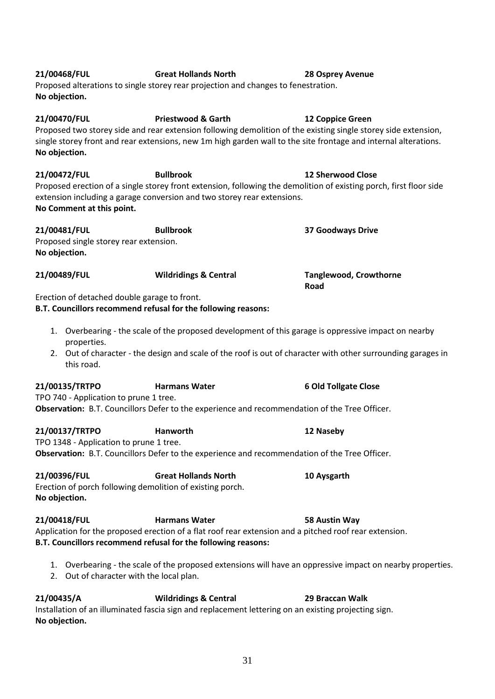| No Comment at this point.                                               |                                                                                                                                                                                                 |                                                                                                              |
|-------------------------------------------------------------------------|-------------------------------------------------------------------------------------------------------------------------------------------------------------------------------------------------|--------------------------------------------------------------------------------------------------------------|
| 21/00481/FUL<br>Proposed single storey rear extension.<br>No objection. | <b>Bullbrook</b>                                                                                                                                                                                | <b>37 Goodways Drive</b>                                                                                     |
| 21/00489/FUL                                                            | <b>Wildridings &amp; Central</b>                                                                                                                                                                | <b>Tanglewood, Crowthorne</b><br>Road                                                                        |
|                                                                         | Erection of detached double garage to front.<br>B.T. Councillors recommend refusal for the following reasons:                                                                                   |                                                                                                              |
| properties.                                                             |                                                                                                                                                                                                 | 1. Overbearing - the scale of the proposed development of this garage is oppressive impact on nearby         |
| this road.                                                              |                                                                                                                                                                                                 | 2. Out of character - the design and scale of the roof is out of character with other surrounding garages in |
| 21/00135/TRTPO<br>TPO 740 - Application to prune 1 tree.                | <b>Harmans Water</b>                                                                                                                                                                            | <b>6 Old Tollgate Close</b>                                                                                  |
|                                                                         | Observation: B.T. Councillors Defer to the experience and recommendation of the Tree Officer.                                                                                                   |                                                                                                              |
| 21/00137/TRTPO<br>TPO 1348 - Application to prune 1 tree.               | Hanworth<br>Observation: B.T. Councillors Defer to the experience and recommendation of the Tree Officer.                                                                                       | 12 Naseby                                                                                                    |
| 21/00396/FUL<br>No objection.                                           | <b>Great Hollands North</b><br>Erection of porch following demolition of existing porch.                                                                                                        | 10 Aysgarth                                                                                                  |
| 21/00418/FUL                                                            | <b>Harmans Water</b><br>Application for the proposed erection of a flat roof rear extension and a pitched roof rear extension.<br>B.T. Councillors recommend refusal for the following reasons: | 58 Austin Way                                                                                                |
|                                                                         | 2. Out of character with the local plan.                                                                                                                                                        | 1. Overbearing - the scale of the proposed extensions will have an oppressive impact on nearby properties.   |
| 21/00435/A<br>No objection.                                             | <b>Wildridings &amp; Central</b><br>Installation of an illuminated fascia sign and replacement lettering on an existing projecting sign.                                                        | 29 Braccan Walk                                                                                              |

**21/00470/FUL Priestwood & Garth 12 Coppice Green**

Proposed two storey side and rear extension following demolition of the existing single storey side extension, single storey front and rear extensions, new 1m high garden wall to the site frontage and internal alterations. **No objection.**

**21/00472/FUL Bullbrook 12 Sherwood Close**

Proposed erection of a single storey front extension, following the demolition of existing porch, first floor side extension including a garage conversion and two storey rear extensions.<br>No Commont at this noint **No Comment at this point.**

**21/00468/FUL Great Hollands North 28 Osprey Avenue** Proposed alterations to single storey rear projection and changes to fenestration.

**No objection.**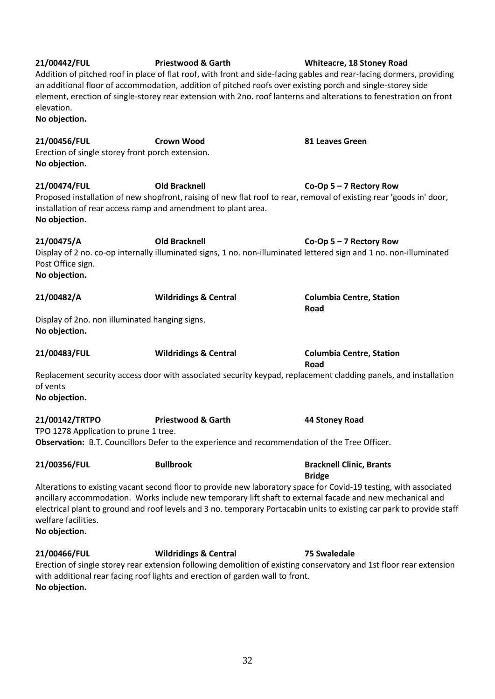| elevation.<br>No objection.                                                                    | an additional floor of accommodation, addition of pitched roofs over existing porch and single-storey side                                  | element, erection of single-storey rear extension with 2no. roof lanterns and alterations to fenestration on front                                                                                                                         |
|------------------------------------------------------------------------------------------------|---------------------------------------------------------------------------------------------------------------------------------------------|--------------------------------------------------------------------------------------------------------------------------------------------------------------------------------------------------------------------------------------------|
| 21/00456/FUL<br>Erection of single storey front porch extension.<br>No objection.              | <b>Crown Wood</b>                                                                                                                           | 81 Leaves Green                                                                                                                                                                                                                            |
| 21/00474/FUL<br>installation of rear access ramp and amendment to plant area.<br>No objection. | <b>Old Bracknell</b><br>Proposed installation of new shopfront, raising of new flat roof to rear, removal of existing rear 'goods in' door, | Co-Op $5 - 7$ Rectory Row                                                                                                                                                                                                                  |
| 21/00475/A<br>Post Office sign.<br>No objection.                                               | <b>Old Bracknell</b><br>Display of 2 no. co-op internally illuminated signs, 1 no. non-illuminated lettered sign and 1 no. non-illuminated  | Co-Op $5 - 7$ Rectory Row                                                                                                                                                                                                                  |
| 21/00482/A                                                                                     | <b>Wildridings &amp; Central</b>                                                                                                            | <b>Columbia Centre, Station</b><br>Road                                                                                                                                                                                                    |
| Display of 2no. non illuminated hanging signs.<br>No objection.                                |                                                                                                                                             |                                                                                                                                                                                                                                            |
| 21/00483/FUL                                                                                   | <b>Wildridings &amp; Central</b>                                                                                                            | <b>Columbia Centre, Station</b><br>Road                                                                                                                                                                                                    |
| of vents<br>No objection.                                                                      |                                                                                                                                             | Replacement security access door with associated security keypad, replacement cladding panels, and installation                                                                                                                            |
| 21/00142/TRTPO<br>TPO 1278 Application to prune 1 tree.                                        | <b>Priestwood &amp; Garth</b><br>Observation: B.T. Councillors Defer to the experience and recommendation of the Tree Officer.              | 44 Stoney Road                                                                                                                                                                                                                             |
| 21/00356/FUL                                                                                   | <b>Bullbrook</b>                                                                                                                            | <b>Bracknell Clinic, Brants</b><br><b>Bridge</b>                                                                                                                                                                                           |
| welfare facilities.<br>No objection.                                                           | ancillary accommodation. Works include new temporary lift shaft to external facade and new mechanical and                                   | Alterations to existing vacant second floor to provide new laboratory space for Covid-19 testing, with associated<br>electrical plant to ground and roof levels and 3 no. temporary Portacabin units to existing car park to provide staff |
| 21/00466/FUL<br>No objection.                                                                  | <b>Wildridings &amp; Central</b><br>with additional rear facing roof lights and erection of garden wall to front.                           | <b>75 Swaledale</b><br>Erection of single storey rear extension following demolition of existing conservatory and 1st floor rear extension                                                                                                 |

**21/00442/FUL Priestwood & Garth Whiteacre, 18 Stoney Road**

Addition of pitched roof in place of flat roof, with front and side-facing gables and rear-facing dormers, providing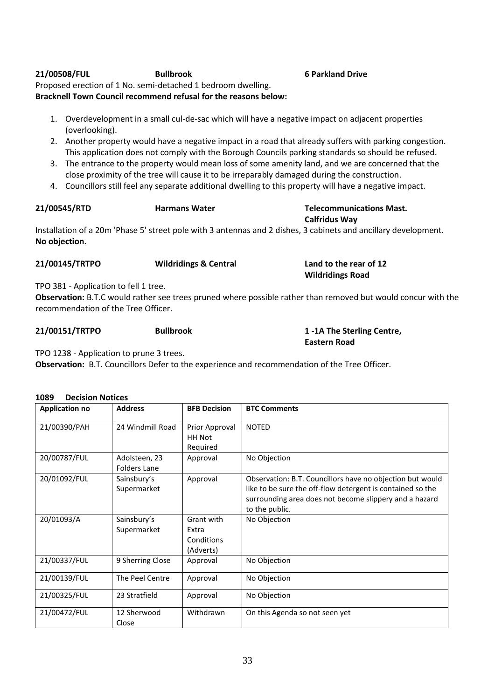## **21/00508/FUL Bullbrook 6 Parkland Drive**

Proposed erection of 1 No. semi-detached 1 bedroom dwelling. **Bracknell Town Council recommend refusal for the reasons below:**

- 1. Overdevelopment in a small cul-de-sac which will have a negative impact on adjacent properties (overlooking).
- 2. Another property would have a negative impact in a road that already suffers with parking congestion. This application does not comply with the Borough Councils parking standards so should be refused.
- 3. The entrance to the property would mean loss of some amenity land, and we are concerned that the close proximity of the tree will cause it to be irreparably damaged during the construction.
- 4. Councillors still feel any separate additional dwelling to this property will have a negative impact.

| 21/00545/RTD | <b>Harmans Water</b> |
|--------------|----------------------|
|              |                      |

### **21/00545/RTD Harmans Water Telecommunications Mast. Calfridus Way**

Installation of a 20m 'Phase 5' street pole with 3 antennas and 2 dishes, 3 cabinets and ancillary development. **No objection.**

| 21/00145/TRTPO | <b>Wildridings &amp; Central</b> | Land to the rear of 12  |
|----------------|----------------------------------|-------------------------|
|                |                                  | <b>Wildridings Road</b> |

TPO 381 - Application to fell 1 tree.

**Observation:** B.T.C would rather see trees pruned where possible rather than removed but would concur with the recommendation of the Tree Officer.

## **21/00151/TRTPO Bullbrook 1 -1A The Sterling Centre,**

**Eastern Road**

TPO 1238 - Application to prune 3 trees.

**Observation:** B.T. Councillors Defer to the experience and recommendation of the Tree Officer.

### **1089 Decision Notices**

| <b>Application no</b> | <b>Address</b>                       | <b>BFB Decision</b>                            | <b>BTC Comments</b>                                                                                                                                                                                 |
|-----------------------|--------------------------------------|------------------------------------------------|-----------------------------------------------------------------------------------------------------------------------------------------------------------------------------------------------------|
| 21/00390/PAH          | 24 Windmill Road                     | Prior Approval<br>HH Not<br>Required           | <b>NOTED</b>                                                                                                                                                                                        |
| 20/00787/FUL          | Adolsteen, 23<br><b>Folders Lane</b> | Approval                                       | No Objection                                                                                                                                                                                        |
| 20/01092/FUL          | Sainsbury's<br>Supermarket           | Approval                                       | Observation: B.T. Councillors have no objection but would<br>like to be sure the off-flow detergent is contained so the<br>surrounding area does not become slippery and a hazard<br>to the public. |
| 20/01093/A            | Sainsbury's<br>Supermarket           | Grant with<br>Extra<br>Conditions<br>(Adverts) | No Objection                                                                                                                                                                                        |
| 21/00337/FUL          | 9 Sherring Close                     | Approval                                       | No Objection                                                                                                                                                                                        |
| 21/00139/FUL          | The Peel Centre                      | Approval                                       | No Objection                                                                                                                                                                                        |
| 21/00325/FUL          | 23 Stratfield                        | Approval                                       | No Objection                                                                                                                                                                                        |
| 21/00472/FUL          | 12 Sherwood<br>Close                 | Withdrawn                                      | On this Agenda so not seen yet                                                                                                                                                                      |